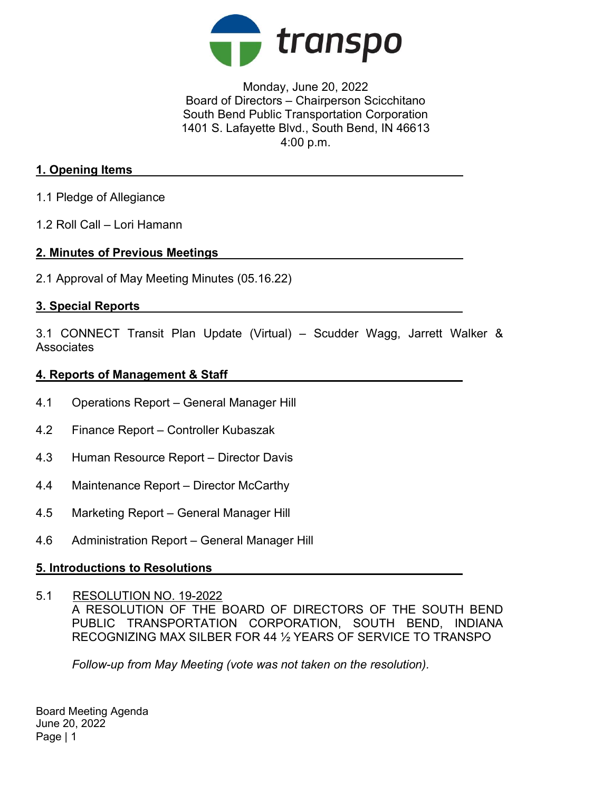

Monday, June 20, 2022 Board of Directors – Chairperson Scicchitano South Bend Public Transportation Corporation 1401 S. Lafayette Blvd., South Bend, IN 46613 4:00 p.m.

### 1. Opening Items

- 1.1 Pledge of Allegiance
- 1.2 Roll Call Lori Hamann

#### 2. Minutes of Previous Meetings

2.1 Approval of May Meeting Minutes (05.16.22)

## 3. Special Reports

3.1 CONNECT Transit Plan Update (Virtual) – Scudder Wagg, Jarrett Walker & **Associates** 

## 4. Reports of Management & Staff

- 4.1 Operations Report General Manager Hill
- 4.2 Finance Report Controller Kubaszak
- 4.3 Human Resource Report Director Davis
- 4.4 Maintenance Report Director McCarthy
- 4.5 Marketing Report General Manager Hill
- 4.6 Administration Report General Manager Hill

# 5. Introductions to Resolutions

5.1 RESOLUTION NO. 19-2022

A RESOLUTION OF THE BOARD OF DIRECTORS OF THE SOUTH BEND PUBLIC TRANSPORTATION CORPORATION, SOUTH BEND, INDIANA RECOGNIZING MAX SILBER FOR 44 ½ YEARS OF SERVICE TO TRANSPO

Follow-up from May Meeting (vote was not taken on the resolution).

Board Meeting Agenda June 20, 2022 Page | 1